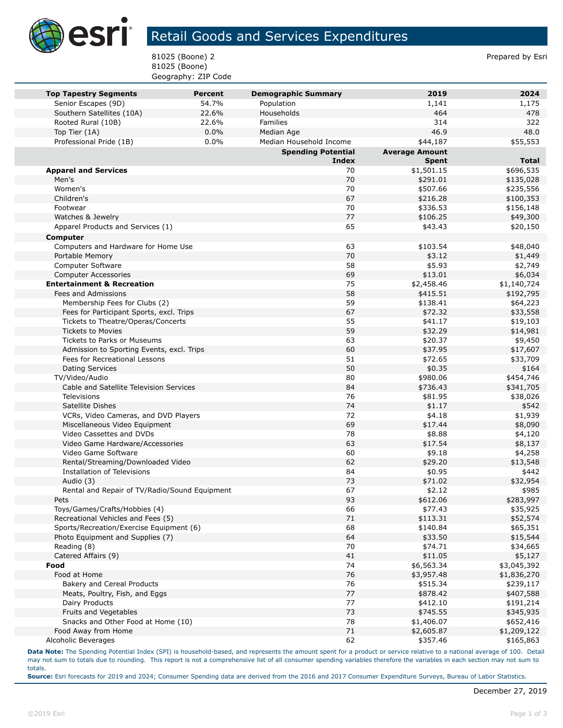

## Retail Goods and Services Expenditures

81025 (Boone) 2 Prepared by Esri 81025 (Boone) Geography: ZIP Code

| <b>Top Tapestry Segments</b>                              | <b>Percent</b> | <b>Demographic Summary</b> | 2019                  | 2024              |
|-----------------------------------------------------------|----------------|----------------------------|-----------------------|-------------------|
| Senior Escapes (9D)                                       | 54.7%          | Population                 | 1,141                 | 1,175             |
| Southern Satellites (10A)                                 | 22.6%          | Households                 | 464                   | 478               |
| Rooted Rural (10B)                                        | 22.6%          | Families                   | 314                   | 322               |
| Top Tier (1A)                                             | 0.0%           | Median Age                 | 46.9                  | 48.0              |
| Professional Pride (1B)                                   | 0.0%           | Median Household Income    | \$44,187              | \$55,553          |
|                                                           |                | <b>Spending Potential</b>  | <b>Average Amount</b> |                   |
|                                                           |                | <b>Index</b>               | <b>Spent</b>          | <b>Total</b>      |
| <b>Apparel and Services</b>                               |                | 70                         | \$1,501.15            | \$696,535         |
| Men's                                                     |                | 70                         | \$291.01              | \$135,028         |
| Women's                                                   |                | 70                         | \$507.66              | \$235,556         |
| Children's                                                |                | 67                         | \$216.28              | \$100,353         |
| Footwear                                                  |                | 70                         | \$336.53              | \$156,148         |
| Watches & Jewelry                                         |                | 77                         | \$106.25              | \$49,300          |
| Apparel Products and Services (1)                         |                | 65                         | \$43.43               | \$20,150          |
| <b>Computer</b>                                           |                |                            |                       |                   |
| Computers and Hardware for Home Use                       |                | 63                         | \$103.54              | \$48,040          |
| Portable Memory                                           |                | 70                         | \$3.12                | \$1,449           |
| Computer Software                                         |                | 58                         | \$5.93                | \$2,749           |
| <b>Computer Accessories</b>                               |                | 69                         | \$13.01               | \$6,034           |
| <b>Entertainment &amp; Recreation</b>                     |                | 75                         | \$2,458.46            | \$1,140,724       |
| Fees and Admissions                                       |                | 58                         | \$415.51              | \$192,795         |
| Membership Fees for Clubs (2)                             |                | 59                         | \$138.41              | \$64,223          |
| Fees for Participant Sports, excl. Trips                  |                | 67                         | \$72.32               | \$33,558          |
| Tickets to Theatre/Operas/Concerts                        |                | 55                         | \$41.17               | \$19,103          |
| <b>Tickets to Movies</b>                                  |                | 59                         | \$32.29               | \$14,981          |
| Tickets to Parks or Museums                               |                | 63                         | \$20.37               | \$9,450           |
| Admission to Sporting Events, excl. Trips                 |                | 60                         | \$37.95               | \$17,607          |
| Fees for Recreational Lessons                             |                | 51                         | \$72.65               | \$33,709          |
| <b>Dating Services</b>                                    |                | 50                         | \$0.35                | \$164             |
| TV/Video/Audio<br>Cable and Satellite Television Services |                | 80<br>84                   | \$980.06              | \$454,746         |
| <b>Televisions</b>                                        |                | 76                         | \$736.43              | \$341,705         |
| Satellite Dishes                                          |                | 74                         | \$81.95<br>\$1.17     | \$38,026<br>\$542 |
| VCRs, Video Cameras, and DVD Players                      |                | 72                         | \$4.18                | \$1,939           |
| Miscellaneous Video Equipment                             |                | 69                         | \$17.44               | \$8,090           |
| Video Cassettes and DVDs                                  |                | 78                         | \$8.88                | \$4,120           |
| Video Game Hardware/Accessories                           |                | 63                         | \$17.54               | \$8,137           |
| Video Game Software                                       |                | 60                         | \$9.18                | \$4,258           |
| Rental/Streaming/Downloaded Video                         |                | 62                         | \$29.20               | \$13,548          |
| <b>Installation of Televisions</b>                        |                | 84                         | \$0.95                | \$442             |
| Audio (3)                                                 |                | 73                         | \$71.02               | \$32,954          |
| Rental and Repair of TV/Radio/Sound Equipment             |                | 67                         | \$2.12                | \$985             |
| Pets                                                      |                | 93                         | \$612.06              | \$283,997         |
| Toys/Games/Crafts/Hobbies (4)                             |                | 66                         | \$77.43               | \$35,925          |
| Recreational Vehicles and Fees (5)                        |                | 71                         | \$113.31              | \$52,574          |
| Sports/Recreation/Exercise Equipment (6)                  |                | 68                         | \$140.84              | \$65,351          |
| Photo Equipment and Supplies (7)                          |                | 64                         | \$33.50               | \$15,544          |
| Reading (8)                                               |                | 70                         | \$74.71               | \$34,665          |
| Catered Affairs (9)                                       |                | 41                         | \$11.05               | \$5,127           |
| Food                                                      |                | 74                         | \$6,563.34            | \$3,045,392       |
| Food at Home                                              |                | 76                         | \$3,957.48            | \$1,836,270       |
| Bakery and Cereal Products                                |                | 76                         | \$515.34              | \$239,117         |
| Meats, Poultry, Fish, and Eggs                            |                | 77                         | \$878.42              | \$407,588         |
| Dairy Products                                            |                | 77                         | \$412.10              | \$191,214         |
| Fruits and Vegetables                                     |                | 73                         | \$745.55              | \$345,935         |
| Snacks and Other Food at Home (10)                        |                | 78                         | \$1,406.07            | \$652,416         |
| Food Away from Home                                       |                | $71$                       | \$2,605.87            | \$1,209,122       |
| Alcoholic Beverages                                       |                | 62                         | \$357.46              | \$165,863         |

**Data Note:** The Spending Potential Index (SPI) is household-based, and represents the amount spent for a product or service relative to a national average of 100. Detail may not sum to totals due to rounding. This report is not a comprehensive list of all consumer spending variables therefore the variables in each section may not sum to totals.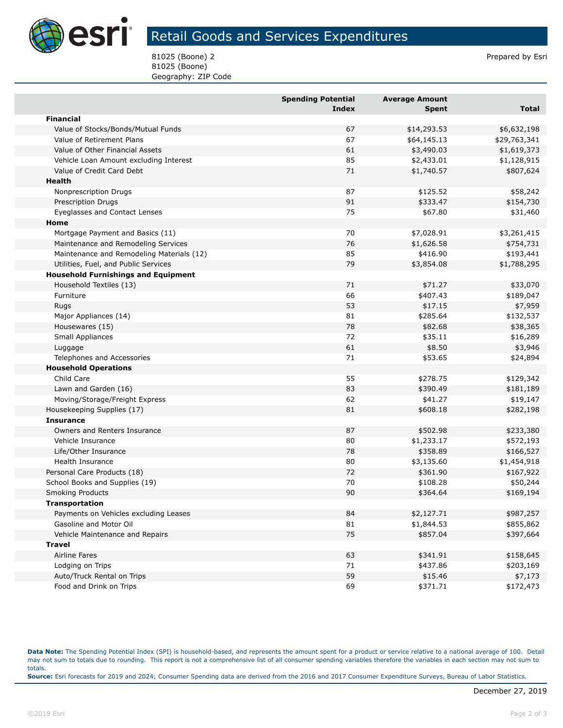

## Retail Goods and Services Expenditures

81025 (Boone) 2 Prepared by Esri 81025 (Boone) Geography: ZIP Code

|                                            | <b>Spending Potential</b> | <b>Average Amount</b> |              |
|--------------------------------------------|---------------------------|-----------------------|--------------|
|                                            | <b>Index</b>              | Spent                 | Total        |
| <b>Financial</b>                           |                           |                       |              |
| Value of Stocks/Bonds/Mutual Funds         | 67                        | \$14,293.53           | \$6,632,198  |
| Value of Retirement Plans                  | 67                        | \$64,145.13           | \$29,763,341 |
| Value of Other Financial Assets            | 61                        | \$3,490.03            | \$1,619,373  |
| Vehicle Loan Amount excluding Interest     | 85                        | \$2,433.01            | \$1,128,915  |
| Value of Credit Card Debt                  | 71                        | \$1,740.57            | \$807,624    |
| Health                                     |                           |                       |              |
| Nonprescription Drugs                      | 87                        | \$125.52              | \$58,242     |
| <b>Prescription Drugs</b>                  | 91                        | \$333.47              | \$154,730    |
| Eyeglasses and Contact Lenses              | 75                        | \$67.80               | \$31,460     |
| Home                                       |                           |                       |              |
| Mortgage Payment and Basics (11)           | 70                        | \$7,028.91            | \$3,261,415  |
| Maintenance and Remodeling Services        | 76                        | \$1,626.58            | \$754,731    |
| Maintenance and Remodeling Materials (12)  | 85                        | \$416.90              | \$193,441    |
| Utilities, Fuel, and Public Services       | 79                        | \$3,854.08            | \$1,788,295  |
| <b>Household Furnishings and Equipment</b> |                           |                       |              |
| Household Textiles (13)                    | 71                        | \$71.27               | \$33,070     |
| Furniture                                  | 66                        | \$407.43              | \$189,047    |
| <b>Rugs</b>                                | 53                        | \$17.15               | \$7,959      |
| Major Appliances (14)                      | 81                        | \$285.64              | \$132,537    |
| Housewares (15)                            | 78                        | \$82.68               | \$38,365     |
| Small Appliances                           | 72                        | \$35.11               | \$16,289     |
| Luggage                                    | 61                        | \$8.50                | \$3,946      |
| Telephones and Accessories                 | 71                        | \$53.65               | \$24,894     |
| <b>Household Operations</b>                |                           |                       |              |
| Child Care                                 | 55                        | \$278.75              | \$129,342    |
| Lawn and Garden (16)                       | 83                        | \$390.49              | \$181,189    |
| Moving/Storage/Freight Express             | 62                        | \$41.27               | \$19,147     |
| Housekeeping Supplies (17)                 | 81                        | \$608.18              | \$282,198    |
| <b>Insurance</b>                           |                           |                       |              |
| Owners and Renters Insurance               | 87                        | \$502.98              | \$233,380    |
| Vehicle Insurance                          | 80                        | \$1,233.17            | \$572,193    |
| Life/Other Insurance                       | 78                        | \$358.89              | \$166,527    |
| Health Insurance                           | 80                        | \$3,135.60            | \$1,454,918  |
| Personal Care Products (18)                | 72                        | \$361.90              | \$167,922    |
| School Books and Supplies (19)             | 70                        | \$108.28              | \$50,244     |
| <b>Smoking Products</b>                    | 90                        | \$364.64              | \$169,194    |
| Transportation                             |                           |                       |              |
| Payments on Vehicles excluding Leases      | 84                        | \$2,127.71            | \$987,257    |
| Gasoline and Motor Oil                     | 81                        | \$1,844.53            | \$855,862    |
| Vehicle Maintenance and Repairs            | 75                        | \$857.04              | \$397,664    |
| <b>Travel</b>                              |                           |                       |              |
| Airline Fares                              | 63                        | \$341.91              | \$158,645    |
| Lodging on Trips                           | 71                        | \$437.86              | \$203,169    |
| Auto/Truck Rental on Trips                 | 59                        | \$15.46               | \$7,173      |
| Food and Drink on Trips                    | 69                        | \$371.71              | \$172,473    |

**Data Note:** The Spending Potential Index (SPI) is household-based, and represents the amount spent for a product or service relative to a national average of 100. Detail may not sum to totals due to rounding. This report is not a comprehensive list of all consumer spending variables therefore the variables in each section may not sum to totals. **Source:** Esri forecasts for 2019 and 2024; Consumer Spending data are derived from the 2016 and 2017 Consumer Expenditure Surveys, Bureau of Labor Statistics.